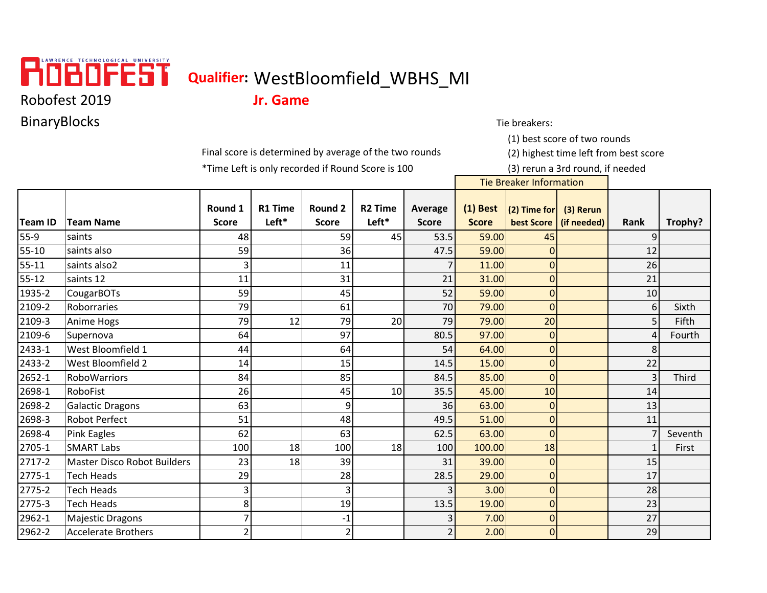

## **Qualifier:** WestBloomfield\_WBHS\_MI

Robofest 2019 **Jr. Game**

BinaryBlocks Tie breakers:

Final score is determined by average of the two rounds (2) highest time left from best score

\*Time Left is only recorded if Round Score is 100 (3) rerun a 3rd round, if needed

(1) best score of two rounds

Tie Breaker Information

|           |                                    | Round 1                  | <b>R1 Time</b> | Round 2                  | <b>R2 Time</b> | Average       | $(1)$ Best   | $(2)$ Time for | (3) Rerun   |                |         |
|-----------|------------------------------------|--------------------------|----------------|--------------------------|----------------|---------------|--------------|----------------|-------------|----------------|---------|
| Team ID   | <b>Team Name</b>                   | <b>Score</b>             | Left*          | <b>Score</b>             | Left*          | <b>Score</b>  | <b>Score</b> | best Score     | (if needed) | Rank           | Trophy? |
| $55-9$    | saints                             | 48                       |                | 59                       | 45             | 53.5          | 59.00        | 45             |             |                |         |
| 55-10     | saints also                        | 59                       |                | 36                       |                | 47.5          | 59.00        | $\Omega$       |             | 12             |         |
| $55 - 11$ | saints also2                       | 3                        |                | 11                       |                |               | 11.00        | $\overline{0}$ |             | 26             |         |
| $55 - 12$ | saints 12                          | 11                       |                | 31                       |                | 21            | 31.00        | $\mathbf 0$    |             | 21             |         |
| 1935-2    | <b>CougarBOTs</b>                  | 59                       |                | 45                       |                | 52            | 59.00        | $\overline{0}$ |             | 10             |         |
| 2109-2    | Roborraries                        | 79                       |                | 61                       |                | 70            | 79.00        | $\overline{0}$ |             | 6              | Sixth   |
| 2109-3    | Anime Hogs                         | 79                       | 12             | 79                       | 20             | 79            | 79.00        | 20             |             |                | Fifth   |
| 2109-6    | Supernova                          | 64                       |                | 97                       |                | 80.5          | 97.00        | $\mathbf{0}$   |             | Δ              | Fourth  |
| 2433-1    | West Bloomfield 1                  | 44                       |                | 64                       |                | 54            | 64.00        | $\mathbf{0}$   |             |                |         |
| 2433-2    | West Bloomfield 2                  | 14                       |                | 15                       |                | 14.5          | 15.00        | $\Omega$       |             | 22             |         |
| 2652-1    | <b>RoboWarriors</b>                | 84                       |                | 85                       |                | 84.5          | 85.00        | $\overline{0}$ |             | $\overline{3}$ | Third   |
| 2698-1    | RoboFist                           | 26                       |                | 45                       | 10             | 35.5          | 45.00        | 10             |             | 14             |         |
| 2698-2    | <b>Galactic Dragons</b>            | 63                       |                | 9                        |                | 36            | 63.00        | $\overline{0}$ |             | 13             |         |
| 2698-3    | <b>Robot Perfect</b>               | 51                       |                | 48                       |                | 49.5          | 51.00        | 0              |             | 11             |         |
| 2698-4    | Pink Eagles                        | 62                       |                | 63                       |                | 62.5          | 63.00        | $\overline{0}$ |             |                | Seventh |
| 2705-1    | <b>SMART Labs</b>                  | 100                      | 18             | 100                      | 18             | 100           | 100.00       | 18             |             |                | First   |
| 2717-2    | <b>Master Disco Robot Builders</b> | 23                       | 18             | 39                       |                | 31            | 39.00        | $\Omega$       |             | 15             |         |
| 2775-1    | <b>Tech Heads</b>                  | 29                       |                | 28                       |                | 28.5          | 29.00        | $\mathbf{0}$   |             | 17             |         |
| 2775-2    | <b>Tech Heads</b>                  | 3                        |                | 3                        |                |               | 3.00         | $\mathbf{0}$   |             | 28             |         |
| 2775-3    | <b>Tech Heads</b>                  | 8                        |                | 19                       |                | 13.5          | 19.00        | $\mathbf{0}$   |             | 23             |         |
| 2962-1    | <b>Majestic Dragons</b>            |                          |                | -1                       |                | 3             | 7.00         | $\mathbf{0}$   |             | 27             |         |
| 2962-2    | <b>Accelerate Brothers</b>         | $\overline{\phantom{a}}$ |                | $\overline{\phantom{a}}$ |                | $\mathcal{P}$ | 2.00         | $\overline{0}$ |             | 29             |         |